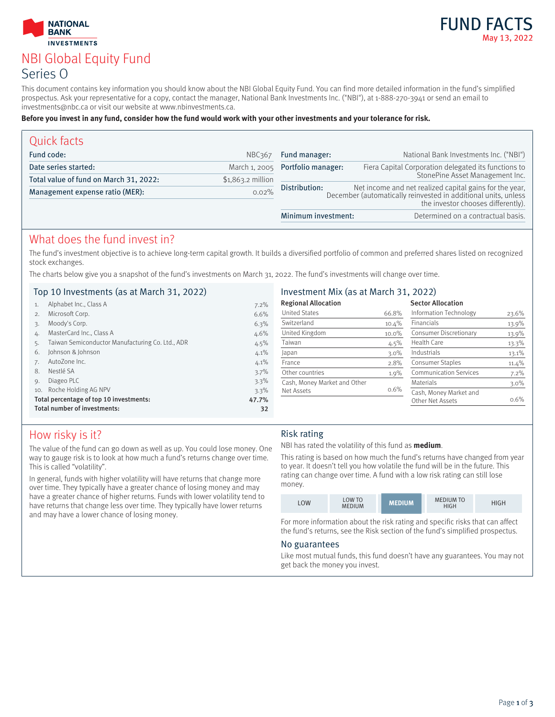



# NBI Global Equity Fund Series O

This document contains key information you should know about the NBI Global Equity Fund. You can find more detailed information in the fund's simplified prospectus. Ask your representative for a copy, contact the manager, National Bank Investments Inc. ("NBI"), at 1-888-270-3941 or send an email to investments@nbc.ca or visit our website at www.nbinvestments.ca.

#### **Before you invest in any fund, consider how the fund would work with your other investments and your tolerance for risk.**

| Quick facts                            |                    |                                                                                                                                                                                  |                                                      |
|----------------------------------------|--------------------|----------------------------------------------------------------------------------------------------------------------------------------------------------------------------------|------------------------------------------------------|
| Fund code:                             | <b>NBC367</b>      | Fund manager:                                                                                                                                                                    | National Bank Investments Inc. ("NBI")               |
| Date series started:                   | March 1, 2005      | Portfolio manager:                                                                                                                                                               | Fiera Capital Corporation delegated its functions to |
| Total value of fund on March 31, 2022: | $$1,863.2$ million |                                                                                                                                                                                  | StonePine Asset Management Inc.                      |
| Management expense ratio (MER):        | 0.02%              | Net income and net realized capital gains for the year,<br>Distribution:<br>December (automatically reinvested in additional units, unless<br>the investor chooses differently). |                                                      |
|                                        |                    | Minimum investment:                                                                                                                                                              | Determined on a contractual basis.                   |

### What does the fund invest in?

The fund's investment objective is to achieve long-term capital growth. It builds a diversified portfolio of common and preferred shares listed on recognized stock exchanges.

The charts below give you a snapshot of the fund's investments on March 31, 2022. The fund's investments will change over time.

### Top 10 Investments (as at March 31, 2022)

| Investment Mix (as at March 31, 2022) |  |  |  |
|---------------------------------------|--|--|--|
|---------------------------------------|--|--|--|

|     | Alphabet Inc., Class A                           | 7.2%  | <b>Regional Allocation</b>   |          | <b>Sector Allocation</b>      |          |
|-----|--------------------------------------------------|-------|------------------------------|----------|-------------------------------|----------|
| 2.  | Microsoft Corp.                                  | 6.6%  | <b>United States</b>         | 66.8%    | Information Technology        | 23.6%    |
| 3.  | Moody's Corp.                                    | 6.3%  | Switzerland                  | 10.4%    | <b>Financials</b>             | 13.9%    |
| 4.  | MasterCard Inc., Class A                         | 4.6%  | United Kingdom               | $10.0\%$ | Consumer Discretionary        | 13.9%    |
|     | Taiwan Semiconductor Manufacturing Co. Ltd., ADR | 4.5%  | Taiwan                       | 4.5%     | Health Care                   | 13.3%    |
| 6.  | Johnson & Johnson                                | 4.1%  | Japan                        | $3.0\%$  | Industrials                   | 13.1%    |
|     | AutoZone Inc.                                    | 4.1%  | France                       | 2.8%     | Consumer Staples              | $11.4\%$ |
| 8.  | Nestlé SA                                        | 3.7%  | Other countries              | $1.9\%$  | <b>Communication Services</b> | $7.2\%$  |
| 9.  | Diageo PLC                                       | 3.3%  | Cash, Money Market and Other |          | Materials                     | $3.0\%$  |
| 10. | Roche Holding AG NPV                             | 3.3%  | Net Assets                   | $0.6\%$  | Cash, Money Market and        |          |
|     | Total percentage of top 10 investments:          | 47.7% |                              |          | Other Net Assets              | $0.6\%$  |
|     | Total number of investments:                     | 32    |                              |          |                               |          |

# How risky is it?

The value of the fund can go down as well as up. You could lose money. One way to gauge risk is to look at how much a fund's returns change over time. This is called "volatility".

In general, funds with higher volatility will have returns that change more over time. They typically have a greater chance of losing money and may have a greater chance of higher returns. Funds with lower volatility tend to have returns that change less over time. They typically have lower returns and may have a lower chance of losing money.

### Risk rating

NBI has rated the volatility of this fund as **medium**.

This rating is based on how much the fund's returns have changed from year to year. It doesn't tell you how volatile the fund will be in the future. This rating can change over time. A fund with a low risk rating can still lose money.

| LOW | LOW TO<br><b>MEDIUM</b> | <b>MEDIUM</b> | <b>MEDIUM TO</b><br>HIGH | HIGH |
|-----|-------------------------|---------------|--------------------------|------|
|-----|-------------------------|---------------|--------------------------|------|

For more information about the risk rating and specific risks that can affect the fund's returns, see the Risk section of the fund's simplified prospectus.

#### No guarantees

Like most mutual funds, this fund doesn't have any guarantees. You may not get back the money you invest.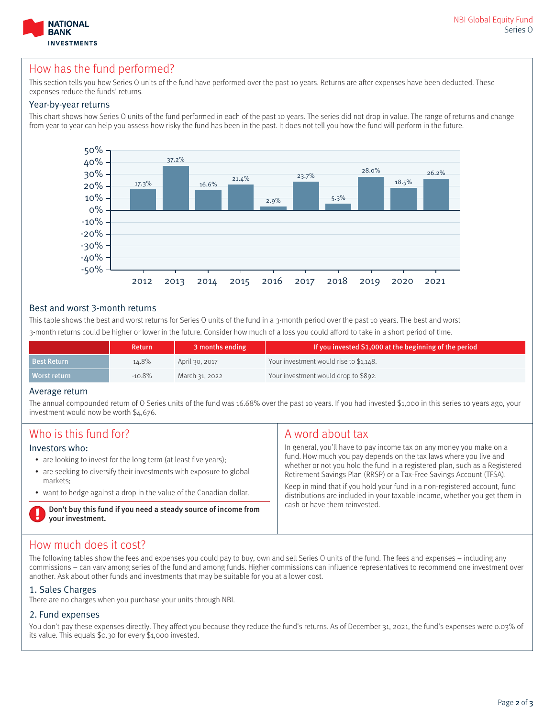

# How has the fund performed?

This section tells you how Series O units of the fund have performed over the past 10 years. Returns are after expenses have been deducted. These expenses reduce the funds' returns.

#### Year-by-year returns

This chart shows how Series O units of the fund performed in each of the past 10 years. The series did not drop in value. The range of returns and change from year to year can help you assess how risky the fund has been in the past. It does not tell you how the fund will perform in the future.



### Best and worst 3-month returns

This table shows the best and worst returns for Series O units of the fund in a 3-month period over the past 10 years. The best and worst 3-month returns could be higher or lower in the future. Consider how much of a loss you could afford to take in a short period of time.

|                    | <b>Return</b> | 3 months ending | If you invested \$1,000 at the beginning of the period |
|--------------------|---------------|-----------------|--------------------------------------------------------|
| <b>Best Return</b> | 14.8%         | April 30, 2017  | Your investment would rise to \$1,148.                 |
| Worst return       | $-10.8%$      | March 31, 2022  | Your investment would drop to \$892.                   |

#### Average return

The annual compounded return of O Series units of the fund was 16.68% over the past 10 years. If you had invested \$1,000 in this series 10 years ago, your investment would now be worth \$4,676.

| Who is this fund for?                                                                                                                                                                                                                         | A word about tax                                                                                                                                                                                                                                                                                                                                                                                                                                                                             |
|-----------------------------------------------------------------------------------------------------------------------------------------------------------------------------------------------------------------------------------------------|----------------------------------------------------------------------------------------------------------------------------------------------------------------------------------------------------------------------------------------------------------------------------------------------------------------------------------------------------------------------------------------------------------------------------------------------------------------------------------------------|
| Investors who:<br>• are looking to invest for the long term (at least five years);<br>• are seeking to diversify their investments with exposure to global<br>markets:<br>• want to hedge against a drop in the value of the Canadian dollar. | In general, you'll have to pay income tax on any money you make on a<br>fund. How much you pay depends on the tax laws where you live and<br>whether or not you hold the fund in a registered plan, such as a Registered<br>Retirement Savings Plan (RRSP) or a Tax-Free Savings Account (TFSA).<br>Keep in mind that if you hold your fund in a non-registered account, fund<br>distributions are included in your taxable income, whether you get them in<br>cash or have them reinvested. |
| Don't buy this fund if you need a steady source of income from<br>your investment.                                                                                                                                                            |                                                                                                                                                                                                                                                                                                                                                                                                                                                                                              |

# How much does it cost?

The following tables show the fees and expenses you could pay to buy, own and sell Series O units of the fund. The fees and expenses – including any commissions – can vary among series of the fund and among funds. Higher commissions can influence representatives to recommend one investment over another. Ask about other funds and investments that may be suitable for you at a lower cost.

### 1. Sales Charges

There are no charges when you purchase your units through NBI.

### 2. Fund expenses

You don't pay these expenses directly. They affect you because they reduce the fund's returns. As of December 31, 2021, the fund's expenses were 0.03% of its value. This equals \$0.30 for every \$1,000 invested.